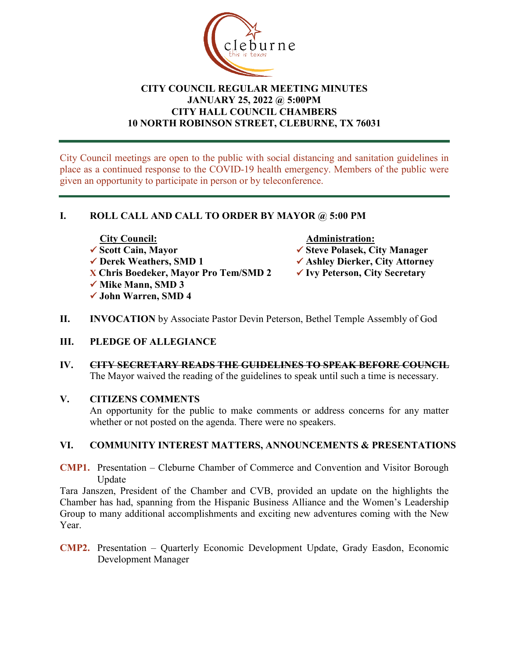

# **CITY COUNCIL REGULAR MEETING MINUTES JANUARY 25, 2022 @ 5:00PM CITY HALL COUNCIL CHAMBERS 10 NORTH ROBINSON STREET, CLEBURNE, TX 76031**

City Council meetings are open to the public with social distancing and sanitation guidelines in place as a continued response to the COVID-19 health emergency. Members of the public were given an opportunity to participate in person or by teleconference.

# **I. ROLL CALL AND CALL TO ORDER BY MAYOR @ 5:00 PM**

- The City Council:<br>
<del>■ Administration:</del><br>
→ Scott Cain, Mayor<br>
→ Steve Polasek, City Council:
- 

**X Chris Boedeker, Mayor Pro Tem/SMD 2 Ivy Peterson, City Secretary**

- **√ Mike Mann, SMD 3**
- **John Warren, SMD 4**

- **V** Scott Cain, Mayor<br>
★ Steve Polasek, City Manager<br>
★ Ashlev Dierker, City Attorne
	- **✓ Ashley Dierker, City Attorney**
	-
- **II. INVOCATION** by Associate Pastor Devin Peterson, Bethel Temple Assembly of God

## **III. PLEDGE OF ALLEGIANCE**

**IV. CITY SECRETARY READS THE GUIDELINES TO SPEAK BEFORE COUNCIL** The Mayor waived the reading of the guidelines to speak until such a time is necessary.

## **V. CITIZENS COMMENTS**

An opportunity for the public to make comments or address concerns for any matter whether or not posted on the agenda. There were no speakers.

# **VI. COMMUNITY INTEREST MATTERS, ANNOUNCEMENTS & PRESENTATIONS**

**CMP1.** Presentation – Cleburne Chamber of Commerce and Convention and Visitor Borough Update

Tara Janszen, President of the Chamber and CVB, provided an update on the highlights the Chamber has had, spanning from the Hispanic Business Alliance and the Women's Leadership Group to many additional accomplishments and exciting new adventures coming with the New Year.

**CMP2.** Presentation – Quarterly Economic Development Update, Grady Easdon, Economic Development Manager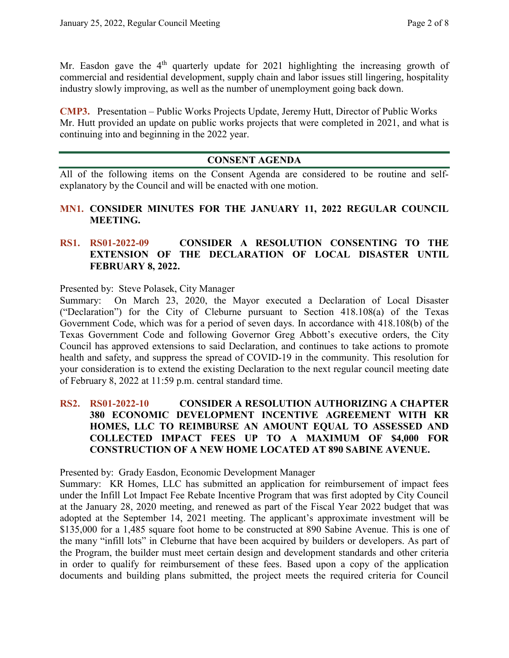Mr. Easdon gave the  $4<sup>th</sup>$  quarterly update for 2021 highlighting the increasing growth of commercial and residential development, supply chain and labor issues still lingering, hospitality industry slowly improving, as well as the number of unemployment going back down.

**CMP3.** Presentation – Public Works Projects Update, Jeremy Hutt, Director of Public Works Mr. Hutt provided an update on public works projects that were completed in 2021, and what is continuing into and beginning in the 2022 year.

## **CONSENT AGENDA**

All of the following items on the Consent Agenda are considered to be routine and selfexplanatory by the Council and will be enacted with one motion.

### **MN1. CONSIDER MINUTES FOR THE JANUARY 11, 2022 REGULAR COUNCIL MEETING.**

#### **RS1. RS01-2022-09 CONSIDER A RESOLUTION CONSENTING TO THE EXTENSION OF THE DECLARATION OF LOCAL DISASTER UNTIL FEBRUARY 8, 2022.**

Presented by: Steve Polasek, City Manager

Summary: On March 23, 2020, the Mayor executed a Declaration of Local Disaster ("Declaration") for the City of Cleburne pursuant to Section 418.108(a) of the Texas Government Code, which was for a period of seven days. In accordance with 418.108(b) of the Texas Government Code and following Governor Greg Abbott's executive orders, the City Council has approved extensions to said Declaration, and continues to take actions to promote health and safety, and suppress the spread of COVID-19 in the community. This resolution for your consideration is to extend the existing Declaration to the next regular council meeting date of February 8, 2022 at 11:59 p.m. central standard time.

## **RS2. RS01-2022-10 CONSIDER A RESOLUTION AUTHORIZING A CHAPTER 380 ECONOMIC DEVELOPMENT INCENTIVE AGREEMENT WITH KR HOMES, LLC TO REIMBURSE AN AMOUNT EQUAL TO ASSESSED AND COLLECTED IMPACT FEES UP TO A MAXIMUM OF \$4,000 FOR CONSTRUCTION OF A NEW HOME LOCATED AT 890 SABINE AVENUE.**

Presented by: Grady Easdon, Economic Development Manager

Summary: KR Homes, LLC has submitted an application for reimbursement of impact fees under the Infill Lot Impact Fee Rebate Incentive Program that was first adopted by City Council at the January 28, 2020 meeting, and renewed as part of the Fiscal Year 2022 budget that was adopted at the September 14, 2021 meeting. The applicant's approximate investment will be \$135,000 for a 1,485 square foot home to be constructed at 890 Sabine Avenue. This is one of the many "infill lots" in Cleburne that have been acquired by builders or developers. As part of the Program, the builder must meet certain design and development standards and other criteria in order to qualify for reimbursement of these fees. Based upon a copy of the application documents and building plans submitted, the project meets the required criteria for Council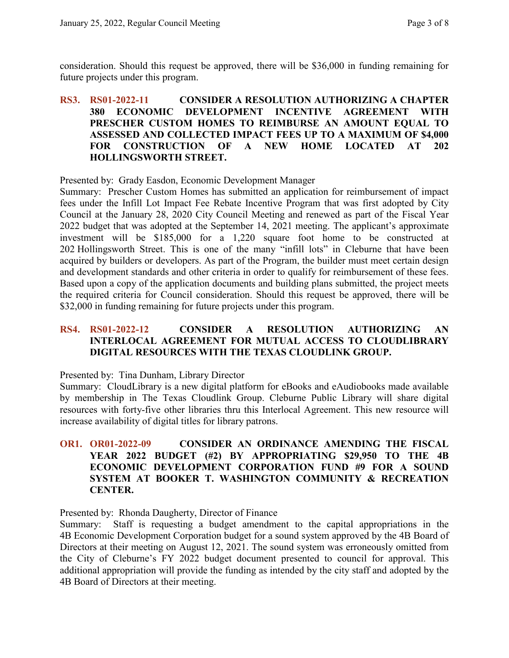consideration. Should this request be approved, there will be \$36,000 in funding remaining for future projects under this program.

### **RS3. RS01-2022-11 CONSIDER A RESOLUTION AUTHORIZING A CHAPTER 380 ECONOMIC DEVELOPMENT INCENTIVE AGREEMENT WITH PRESCHER CUSTOM HOMES TO REIMBURSE AN AMOUNT EQUAL TO ASSESSED AND COLLECTED IMPACT FEES UP TO A MAXIMUM OF \$4,000 FOR CONSTRUCTION OF A NEW HOME LOCATED AT 202 HOLLINGSWORTH STREET.**

Presented by: Grady Easdon, Economic Development Manager

Summary: Prescher Custom Homes has submitted an application for reimbursement of impact fees under the Infill Lot Impact Fee Rebate Incentive Program that was first adopted by City Council at the January 28, 2020 City Council Meeting and renewed as part of the Fiscal Year 2022 budget that was adopted at the September 14, 2021 meeting. The applicant's approximate investment will be \$185,000 for a 1,220 square foot home to be constructed at 202 Hollingsworth Street. This is one of the many "infill lots" in Cleburne that have been acquired by builders or developers. As part of the Program, the builder must meet certain design and development standards and other criteria in order to qualify for reimbursement of these fees. Based upon a copy of the application documents and building plans submitted, the project meets the required criteria for Council consideration. Should this request be approved, there will be \$32,000 in funding remaining for future projects under this program.

#### **RS4. RS01-2022-12 CONSIDER A RESOLUTION AUTHORIZING AN INTERLOCAL AGREEMENT FOR MUTUAL ACCESS TO CLOUDLIBRARY DIGITAL RESOURCES WITH THE TEXAS CLOUDLINK GROUP.**

Presented by: Tina Dunham, Library Director

Summary: CloudLibrary is a new digital platform for eBooks and eAudiobooks made available by membership in The Texas Cloudlink Group. Cleburne Public Library will share digital resources with forty-five other libraries thru this Interlocal Agreement. This new resource will increase availability of digital titles for library patrons.

## **OR1. OR01-2022-09 CONSIDER AN ORDINANCE AMENDING THE FISCAL YEAR 2022 BUDGET (#2) BY APPROPRIATING \$29,950 TO THE 4B ECONOMIC DEVELOPMENT CORPORATION FUND #9 FOR A SOUND SYSTEM AT BOOKER T. WASHINGTON COMMUNITY & RECREATION CENTER.**

Presented by: Rhonda Daugherty, Director of Finance

Summary: Staff is requesting a budget amendment to the capital appropriations in the 4B Economic Development Corporation budget for a sound system approved by the 4B Board of Directors at their meeting on August 12, 2021. The sound system was erroneously omitted from the City of Cleburne's FY 2022 budget document presented to council for approval. This additional appropriation will provide the funding as intended by the city staff and adopted by the 4B Board of Directors at their meeting.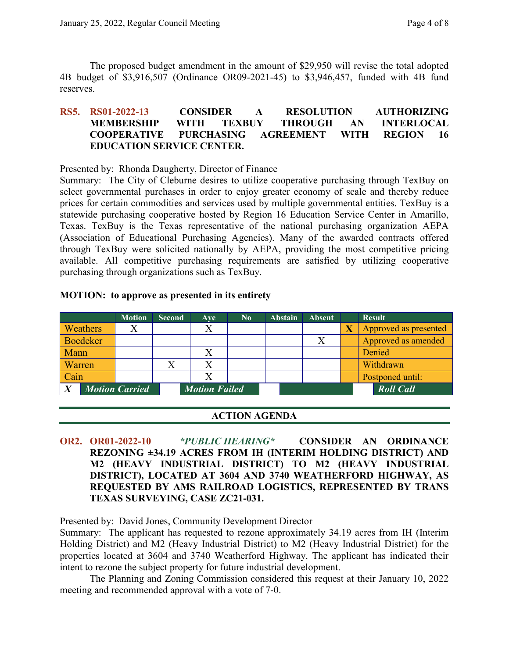The proposed budget amendment in the amount of \$29,950 will revise the total adopted 4B budget of \$3,916,507 (Ordinance OR09-2021-45) to \$3,946,457, funded with 4B fund reserves.

## **RS5. RS01-2022-13 CONSIDER A RESOLUTION AUTHORIZING MEMBERSHIP WITH TEXBUY THROUGH AN INTERLOCAL COOPERATIVE PURCHASING AGREEMENT WITH REGION 16 EDUCATION SERVICE CENTER.**

Presented by: Rhonda Daugherty, Director of Finance

Summary: The City of Cleburne desires to utilize cooperative purchasing through TexBuy on select governmental purchases in order to enjoy greater economy of scale and thereby reduce prices for certain commodities and services used by multiple governmental entities. TexBuy is a statewide purchasing cooperative hosted by Region 16 Education Service Center in Amarillo, Texas. TexBuy is the Texas representative of the national purchasing organization AEPA (Association of Educational Purchasing Agencies). Many of the awarded contracts offered through TexBuy were solicited nationally by AEPA, providing the most competitive pricing available. All competitive purchasing requirements are satisfied by utilizing cooperative purchasing through organizations such as TexBuy.

|                 | <b>Motion</b>         | <b>Second</b> | Ave                  | $\bf No$ | <b>Abstain</b> | <b>Absent</b> | <b>Result</b>         |
|-----------------|-----------------------|---------------|----------------------|----------|----------------|---------------|-----------------------|
| Weathers        |                       |               |                      |          |                |               | Approved as presented |
| <b>Boedeker</b> |                       |               |                      |          |                |               | Approved as amended   |
| Mann            |                       |               |                      |          |                |               | Denied                |
| Warren          |                       |               |                      |          |                |               | Withdrawn             |
| Cain            |                       |               |                      |          |                |               | Postponed until:      |
|                 | <b>Motion Carried</b> |               | <b>Motion Failed</b> |          |                |               | <b>Roll Call</b>      |

#### **MOTION: to approve as presented in its entirety**

## **ACTION AGENDA**

**OR2. OR01-2022-10** *\*PUBLIC HEARING\** **CONSIDER AN ORDINANCE REZONING ±34.19 ACRES FROM IH (INTERIM HOLDING DISTRICT) AND M2 (HEAVY INDUSTRIAL DISTRICT) TO M2 (HEAVY INDUSTRIAL DISTRICT), LOCATED AT 3604 AND 3740 WEATHERFORD HIGHWAY, AS REQUESTED BY AMS RAILROAD LOGISTICS, REPRESENTED BY TRANS TEXAS SURVEYING, CASE ZC21-031.**

Presented by: David Jones, Community Development Director

Summary: The applicant has requested to rezone approximately 34.19 acres from IH (Interim Holding District) and M2 (Heavy Industrial District) to M2 (Heavy Industrial District) for the properties located at 3604 and 3740 Weatherford Highway. The applicant has indicated their intent to rezone the subject property for future industrial development.

The Planning and Zoning Commission considered this request at their January 10, 2022 meeting and recommended approval with a vote of 7-0.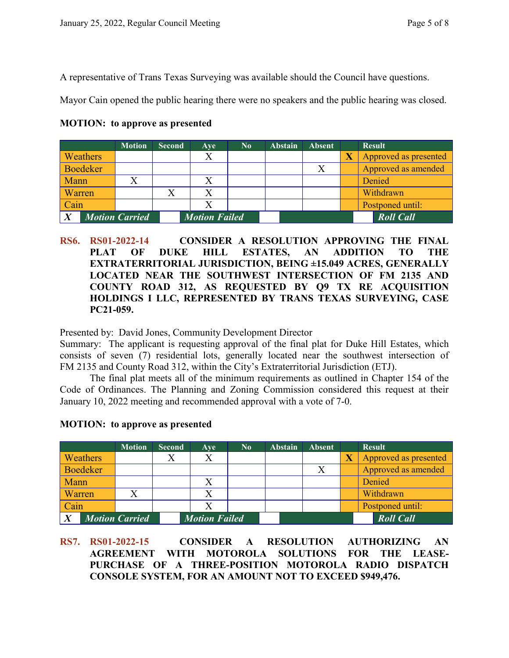A representative of Trans Texas Surveying was available should the Council have questions.

Mayor Cain opened the public hearing there were no speakers and the public hearing was closed.

|        |                 | <b>Motion</b>         | <b>Second</b> | Ave                  | $\mathbf{N_0}$ | <b>Abstain</b> | <b>Absent</b> | <b>Result</b>         |
|--------|-----------------|-----------------------|---------------|----------------------|----------------|----------------|---------------|-----------------------|
|        | Weathers        |                       |               | Χ                    |                |                |               | Approved as presented |
|        | <b>Boedeker</b> |                       |               |                      |                |                |               | Approved as amended   |
| Mann   |                 |                       |               |                      |                |                |               | Denied                |
| Warren |                 |                       |               |                      |                |                |               | Withdrawn             |
| Cain   |                 |                       |               |                      |                |                |               | Postponed until:      |
|        |                 | <b>Motion Carried</b> |               | <b>Motion Failed</b> |                |                |               | <b>Roll Call</b>      |

**MOTION: to approve as presented**

**RS6. RS01-2022-14 CONSIDER A RESOLUTION APPROVING THE FINAL PLAT OF DUKE HILL ESTATES, AN ADDITION TO THE EXTRATERRITORIAL JURISDICTION, BEING ±15.049 ACRES, GENERALLY LOCATED NEAR THE SOUTHWEST INTERSECTION OF FM 2135 AND COUNTY ROAD 312, AS REQUESTED BY Q9 TX RE ACQUISITION HOLDINGS I LLC, REPRESENTED BY TRANS TEXAS SURVEYING, CASE PC21-059.**

Presented by: David Jones, Community Development Director

Summary: The applicant is requesting approval of the final plat for Duke Hill Estates, which consists of seven (7) residential lots, generally located near the southwest intersection of FM 2135 and County Road 312, within the City's Extraterritorial Jurisdiction (ETJ).

The final plat meets all of the minimum requirements as outlined in Chapter 154 of the Code of Ordinances. The Planning and Zoning Commission considered this request at their January 10, 2022 meeting and recommended approval with a vote of 7-0.

|        |                 | <b>Motion</b>         | <b>Second</b> | Ave                  | No. | <b>Abstain</b> | <b>Absent</b> |                         | <b>Result</b>         |
|--------|-----------------|-----------------------|---------------|----------------------|-----|----------------|---------------|-------------------------|-----------------------|
|        | Weathers        |                       |               | X                    |     |                |               | $\overline{\mathbf{X}}$ | Approved as presented |
|        | <b>Boedeker</b> |                       |               |                      |     |                | X             |                         | Approved as amended   |
| Mann   |                 |                       |               | X                    |     |                |               |                         | Denied                |
| Warren |                 |                       |               |                      |     |                |               |                         | Withdrawn             |
| Cain   |                 |                       |               | Χ                    |     |                |               |                         | Postponed until:      |
|        |                 | <b>Motion Carried</b> |               | <b>Motion Failed</b> |     |                |               |                         | <b>Roll Call</b>      |

#### **MOTION: to approve as presented**

**RS7. RS01-2022-15 CONSIDER A RESOLUTION AUTHORIZING AN AGREEMENT WITH MOTOROLA SOLUTIONS FOR THE LEASE-PURCHASE OF A THREE-POSITION MOTOROLA RADIO DISPATCH CONSOLE SYSTEM, FOR AN AMOUNT NOT TO EXCEED \$949,476.**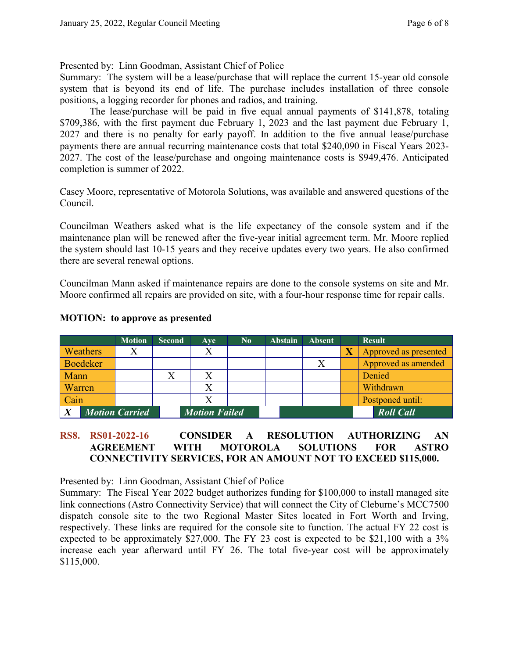Presented by: Linn Goodman, Assistant Chief of Police

Summary: The system will be a lease/purchase that will replace the current 15-year old console system that is beyond its end of life. The purchase includes installation of three console positions, a logging recorder for phones and radios, and training.

The lease/purchase will be paid in five equal annual payments of \$141,878, totaling \$709,386, with the first payment due February 1, 2023 and the last payment due February 1, 2027 and there is no penalty for early payoff. In addition to the five annual lease/purchase payments there are annual recurring maintenance costs that total \$240,090 in Fiscal Years 2023- 2027. The cost of the lease/purchase and ongoing maintenance costs is \$949,476. Anticipated completion is summer of 2022.

Casey Moore, representative of Motorola Solutions, was available and answered questions of the Council.

Councilman Weathers asked what is the life expectancy of the console system and if the maintenance plan will be renewed after the five-year initial agreement term. Mr. Moore replied the system should last 10-15 years and they receive updates every two years. He also confirmed there are several renewal options.

Councilman Mann asked if maintenance repairs are done to the console systems on site and Mr. Moore confirmed all repairs are provided on site, with a four-hour response time for repair calls.

|                       | <b>Motion</b> | <b>Second</b> | Ave                  | $\bf No$ | <b>Abstain</b> | <b>Absent</b> | <b>Result</b>         |
|-----------------------|---------------|---------------|----------------------|----------|----------------|---------------|-----------------------|
| <b>Weathers</b>       |               |               |                      |          |                |               | Approved as presented |
| Boedeker              |               |               |                      |          |                |               | Approved as amended   |
| <b>Mann</b>           |               |               |                      |          |                |               | Denied                |
| Warren/               |               |               |                      |          |                |               | Withdrawn             |
| Cain                  |               |               |                      |          |                |               | Postponed until:      |
| <b>Motion Carried</b> |               |               | <b>Motion Failed</b> |          |                |               | <b>Roll Call</b>      |

#### **MOTION: to approve as presented**

## **RS8. RS01-2022-16 CONSIDER A RESOLUTION AUTHORIZING AN AGREEMENT WITH MOTOROLA SOLUTIONS FOR ASTRO CONNECTIVITY SERVICES, FOR AN AMOUNT NOT TO EXCEED \$115,000.**

Presented by: Linn Goodman, Assistant Chief of Police

Summary: The Fiscal Year 2022 budget authorizes funding for \$100,000 to install managed site link connections (Astro Connectivity Service) that will connect the City of Cleburne's MCC7500 dispatch console site to the two Regional Master Sites located in Fort Worth and Irving, respectively. These links are required for the console site to function. The actual FY 22 cost is expected to be approximately \$27,000. The FY 23 cost is expected to be \$21,100 with a 3% increase each year afterward until FY 26. The total five-year cost will be approximately \$115,000.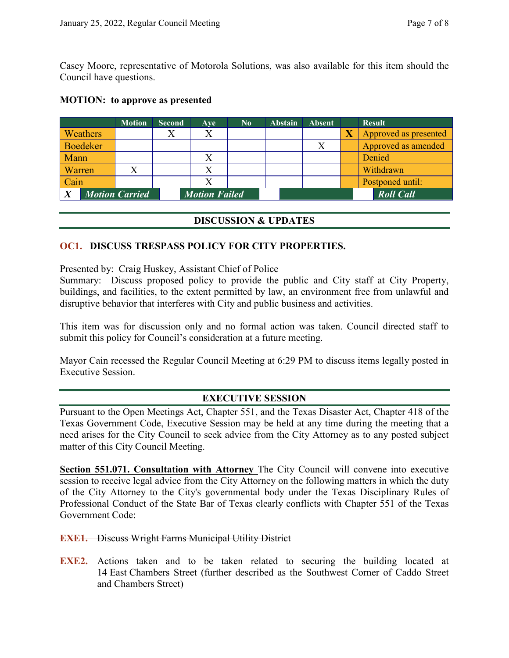Casey Moore, representative of Motorola Solutions, was also available for this item should the Council have questions.

|                       | <b>Motion</b> | <b>Second</b> | Ave                  | $\bf No$ | <b>Abstain</b> | <b>Absent</b> | <b>Result</b>         |
|-----------------------|---------------|---------------|----------------------|----------|----------------|---------------|-----------------------|
| Weathers              |               |               |                      |          |                |               | Approved as presented |
| <b>Boedeker</b>       |               |               |                      |          |                | X             | Approved as amended   |
| Mann                  |               |               |                      |          |                |               | Denied                |
| Warren                |               |               |                      |          |                |               | Withdrawn             |
| Cain                  |               |               |                      |          |                |               | Postponed until:      |
| <b>Motion Carried</b> |               |               | <b>Motion Failed</b> |          |                |               | <b>Roll Call</b>      |

#### **MOTION: to approve as presented**

#### **DISCUSSION & UPDATES**

#### **OC1. DISCUSS TRESPASS POLICY FOR CITY PROPERTIES.**

Presented by: Craig Huskey, Assistant Chief of Police

Summary: Discuss proposed policy to provide the public and City staff at City Property, buildings, and facilities, to the extent permitted by law, an environment free from unlawful and disruptive behavior that interferes with City and public business and activities.

This item was for discussion only and no formal action was taken. Council directed staff to submit this policy for Council's consideration at a future meeting.

Mayor Cain recessed the Regular Council Meeting at 6:29 PM to discuss items legally posted in Executive Session.

## **EXECUTIVE SESSION**

Pursuant to the Open Meetings Act, Chapter 551, and the Texas Disaster Act, Chapter 418 of the Texas Government Code, Executive Session may be held at any time during the meeting that a need arises for the City Council to seek advice from the City Attorney as to any posted subject matter of this City Council Meeting.

**Section 551.071. Consultation with Attorney** The City Council will convene into executive session to receive legal advice from the City Attorney on the following matters in which the duty of the City Attorney to the City's governmental body under the Texas Disciplinary Rules of Professional Conduct of the State Bar of Texas clearly conflicts with Chapter 551 of the Texas Government Code:

#### **EXE1.** Discuss Wright Farms Municipal Utility District

**EXE2.** Actions taken and to be taken related to securing the building located at 14 East Chambers Street (further described as the Southwest Corner of Caddo Street and Chambers Street)